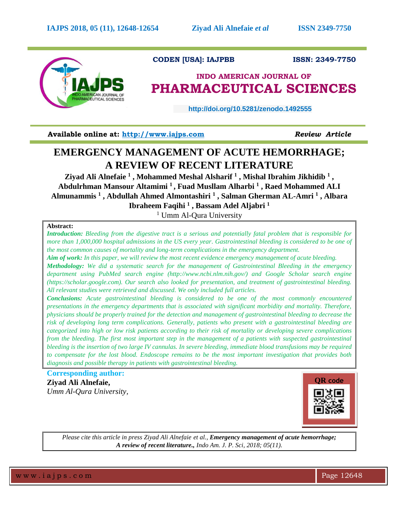

# **CODEN [USA]: IAJPBB ISSN: 2349-7750**

# **INDO AMERICAN JOURNAL OF PHARMACEUTICAL SCIENCES**

 **http://doi.org/10.5281/zenodo.1492555** 

**Available online at: [http://www.iajps.com](http://www.iajps.com/)** *Review Article*

# **EMERGENCY MANAGEMENT OF ACUTE HEMORRHAGE; A REVIEW OF RECENT LITERATURE**

**Ziyad Ali Alnefaie <sup>1</sup> , Mohammed Meshal Alsharif <sup>1</sup> , Mishal Ibrahim Jikhidib <sup>1</sup> , Abdulrhman Mansour Altamimi <sup>1</sup> , Fuad Musllam Alharbi <sup>1</sup> , Raed Mohammed ALI Almunammis <sup>1</sup> , Abdullah Ahmed Almontashiri <sup>1</sup> , Salman Gherman AL-Amri <sup>1</sup> , Albara Ibraheem Faqihi <sup>1</sup> , Bassam Adel Aljabri <sup>1</sup>**

<sup>1</sup> Umm Al-Oura University

# **Abstract:**

*Introduction: Bleeding from the digestive tract is a serious and potentially fatal problem that is responsible for more than 1,000,000 hospital admissions in the US every year. Gastrointestinal bleeding is considered to be one of the most common causes of mortality and long-term complications in the emergency department.*

*Aim of work: In this paper, we will review the most recent evidence emergency management of acute bleeding.*

*Methodology: We did a systematic search for the management of Gastrointestinal Bleeding in the emergency department using PubMed search engine (http://www.ncbi.nlm.nih.gov/) and Google Scholar search engine (https://scholar.google.com). Our search also looked for presentation, and treatment of gastrointestinal bleeding. All relevant studies were retrieved and discussed. We only included full articles.*

*Conclusions: Acute gastrointestinal bleeding is considered to be one of the most commonly encountered presentations in the emergency departments that is associated with significant morbidity and mortality. Therefore, physicians should be properly trained for the detection and management of gastrointestinal bleeding to decrease the risk of developing long term complications. Generally, patients who present with a gastrointestinal bleeding are categorized into high or low risk patients according to their risk of mortality or developing severe complications from the bleeding. The first most important step in the management of a patients with suspected gastrointestinal bleeding is the insertion of two large IV cannulas. In severe bleeding, immediate blood transfusions may be required to compensate for the lost blood. Endoscope remains to be the most important investigation that provides both diagnosis and possible therapy in patients with gastrointestinal bleeding.* 

**Corresponding author: Ziyad Ali Alnefaie,** *Umm Al-Qura University,* 



*Please cite this article in press Ziyad Ali Alnefaie et al., Emergency management of acute hemorrhage; A review of recent literature., Indo Am. J. P. Sci, 2018; 05(11).*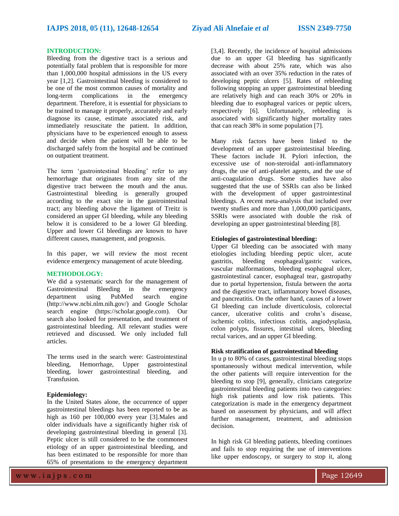## **INTRODUCTION:**

Bleeding from the digestive tract is a serious and potentially fatal problem that is responsible for more than 1,000,000 hospital admissions in the US every year [1,2]. Gastrointestinal bleeding is considered to be one of the most common causes of mortality and long-term complications in the emergency department. Therefore, it is essential for physicians to be trained to manage it properly, accurately and early diagnose its cause, estimate associated risk, and immediately resuscitate the patient. In addition, physicians have to be experienced enough to assess and decide when the patient will be able to be discharged safely from the hospital and be continued on outpatient treatment.

The term 'gastrointestinal bleeding' refer to any hemorrhage that originates from any site of the digestive tract between the mouth and the anus. Gastrointestinal bleeding is generally grouped according to the exact site in the gastrointestinal tract; any bleeding above the ligament of Treitz is considered an upper GI bleeding, while any bleeding below it is considered to be a lower GI bleeding. Upper and lower GI bleedings are known to have different causes, management, and prognosis.

In this paper, we will review the most recent evidence emergency management of acute bleeding.

#### **METHODOLOGY:**

We did a systematic search for the management of Gastrointestinal Bleeding in the emergency department using PubMed search engine (http://www.ncbi.nlm.nih.gov/) and Google Scholar search engine (https://scholar.google.com). Our search also looked for presentation, and treatment of gastrointestinal bleeding. All relevant studies were retrieved and discussed. We only included full articles.

The terms used in the search were: Gastrointestinal bleeding, Hemorrhage, Upper gastrointestinal bleeding, lower gastrointestinal bleeding, and Transfusion.

# **Epidemiology:**

In the United States alone, the occurrence of upper gastrointestinal bleedings has been reported to be as high as 160 per 100,000 every year [3].Males and older individuals have a significantly higher risk of developing gastrointestinal bleeding in general [3]. Peptic ulcer is still considered to be the commonest etiology of an upper gastrointestinal bleeding, and has been estimated to be responsible for more than 65% of presentations to the emergency department [3,4]. Recently, the incidence of hospital admissions due to an upper GI bleeding has significantly decrease with about 25% rate, which was also associated with an over 35% reduction in the rates of developing peptic ulcers [5]. Rates of rebleeding following stopping an upper gastrointestinal bleeding are relatively high and can reach 30% or 20% in bleeding due to esophageal varices or peptic ulcers, respectively [6]. Unfortunately, rebleeding is associated with significantly higher mortality rates that can reach 38% in some population [7].

Many risk factors have been linked to the development of an upper gastrointestinal bleeding. These factors include H. Pylori infection, the excessive use of non-steroidal anti-inflammatory drugs, the use of anti-platelet agents, and the use of anti-coagulation drugs. Some studies have also suggested that the use of SSRIs can also be linked with the development of upper gastrointestinal bleedings. A recent meta-analysis that included over twenty studies and more than 1,000,000 participants, SSRIs were associated with double the risk of developing an upper gastrointestinal bleeding [8].

#### **Etiologies of gastrointestinal bleeding:**

Upper GI bleeding can be associated with many etiologies including bleeding peptic ulcer, acute gastritis, bleeding esophageal/gastric varices, vascular malformations, bleeding esophageal ulcer, gastrointestinal cancer, esophageal tear, gastropathy due to portal hypertension, fistula between the aorta and the digestive tract, inflammatory bowel diseases, and pancreatitis. On the other hand, causes of a lower GI bleeding can include diverticulosis, colorectal cancer, ulcerative colitis and crohn's disease, ischemic colitis, infectious colitis, angiodysplasia, colon polyps, fissures, intestinal ulcers, bleeding rectal varices, and an upper GI bleeding.

#### **Risk stratification of gastrointestinal bleeding**

In u p to 80% of cases, gastrointestinal bleeding stops spontaneously without medical intervention, while the other patients will require intervention for the bleeding to stop [9], generally, clinicians categorize gastrointestinal bleeding patients into two categories: high risk patients and low risk patients. This categorization is made in the emergency department based on assessment by physicians, and will affect further management, treatment, and admission decision.

In high risk GI bleeding patients, bleeding continues and fails to stop requiring the use of interventions like upper endoscopy, or surgery to stop it, along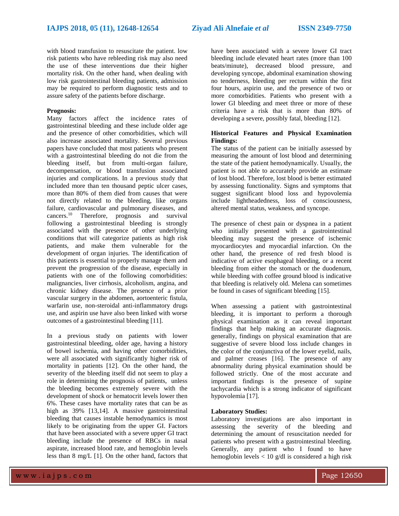with blood transfusion to resuscitate the patient. low risk patients who have rebleeding risk may also need the use of these interventions due their higher mortality risk. On the other hand, when dealing with low risk gastrointestinal bleeding patients, admission may be required to perform diagnostic tests and to assure safety of the patients before discharge.

#### **Prognosis:**

Many factors affect the incidence rates of gastrointestinal bleeding and these include older age and the presence of other comorbidities, which will also increase associated mortality. Several previous papers have concluded that most patients who present with a gastrointestinal bleeding do not die from the bleeding itself, but from multi-organ failure, decompensation, or blood transfusion associated injuries and complications. In a previous study that included more than ten thousand peptic ulcer cases, more than 80% of them died from causes that were not directly related to the bleeding, like organs failure, cardiovascular and pulmonary diseases, and cancers. <sup>10</sup> Therefore, prognosis and survival following a gastrointestinal bleeding is strongly associated with the presence of other underlying conditions that will categorize patients as high risk patients, and make them vulnerable for the development of organ injuries. The identification of this patients is essential to properly manage them and prevent the progression of the disease, especially in patients with one of the following comorbidities: malignancies, liver cirrhosis, alcoholism, angina, and chronic kidney disease. The presence of a prior vascular surgery in the abdomen, aortoenteric fistula, warfarin use, non-steroidal anti-inflammatory drugs use, and aspirin use have also been linked with worse outcomes of a gastrointestinal bleeding [11].

In a previous study on patients with lower gastrointestinal bleeding, older age, having a history of bowel ischemia, and having other comorbidities, were all associated with significantly higher risk of mortality in patients [12]. On the other hand, the severity of the bleeding itself did not seem to play a role in determining the prognosis of patients, unless the bleeding becomes extremely severe with the development of shock or hematocrit levels lower then 6%. These cases have mortality rates that can be as high as 39% [13,14]. A massive gastrointestinal bleeding that causes instable hemodynamics is most likely to be originating from the upper GI. Factors that have been associated with a severe upper GI tract bleeding include the presence of RBCs in nasal aspirate, increased blood rate, and hemoglobin levels less than 8 mg/L [1]. On the other hand, factors that

have been associated with a severe lower GI tract bleeding include elevated heart rates (more than 100 beats/minute), decreased blood pressure, and developing syncope, abdominal examination showing no tenderness, bleeding per rectum within the first four hours, aspirin use, and the presence of two or more comorbidities. Patients who present with a lower GI bleeding and meet three or more of these criteria have a risk that is more than 80% of developing a severe, possibly fatal, bleeding [12].

## **Historical Features and Physical Examination Findings:**

The status of the patient can be initially assessed by measuring the amount of lost blood and determining the state of the patient hemodynamically. Usually, the patient is not able to accurately provide an estimate of lost blood. Therefore, lost blood is better estimated by assessing functionality. Signs and symptoms that suggest significant blood loss and hypovolemia include lightheadedness, loss of consciousness, altered mental status, weakness, and syncope.

The presence of chest pain or dyspnea in a patient who initially presented with a gastrointestinal bleeding may suggest the presence of ischemic myocardiocytes and myocardial infarction. On the other hand, the presence of red fresh blood is indicative of active esophageal bleeding, or a recent bleeding from either the stomach or the duodenum, while bleeding with coffee ground blood is indicative that bleeding is relatively old. Melena can sometimes be found in cases of significant bleeding [15].

When assessing a patient with gastrointestinal bleeding, it is important to perform a thorough physical examination as it can reveal important findings that help making an accurate diagnosis. generally, findings on physical examination that are suggestive of severe blood loss include changes in the color of the conjunctiva of the lower eyelid, nails, and palmer creases [16]. The presence of any abnormality during physical examination should be followed strictly. One of the most accurate and important findings is the presence of supine tachycardia which is a strong indicator of significant hypovolemia [17].

### **Laboratory Studies:**

Laboratory investigations are also important in assessing the severity of the bleeding and determining the amount of resuscitation needed for patients who present with a gastrointestinal bleeding. Generally, any patient who I found to have hemoglobin levels  $< 10$  g/dl is considered a high risk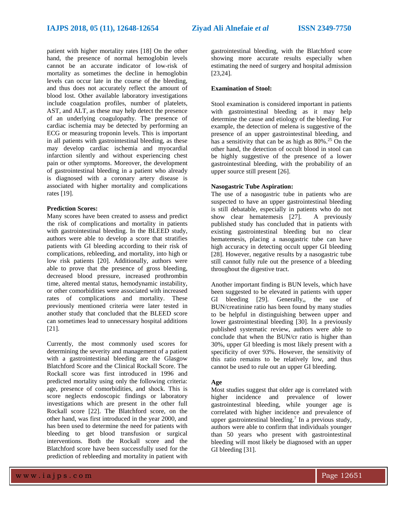patient with higher mortality rates [18] On the other hand, the presence of normal hemoglobin levels cannot be an accurate indicator of low-risk of mortality as sometimes the decline in hemoglobin levels can occur late in the course of the bleeding, and thus does not accurately reflect the amount of blood lost. Other available laboratory investigations include coagulation profiles, number of platelets, AST, and ALT, as these may help detect the presence of an underlying coagulopathy. The presence of cardiac ischemia may be detected by performing an ECG or measuring troponin levels. This is important in all patients with gastrointestinal bleeding, as these may develop cardiac ischemia and myocardial infarction silently and without experiencing chest pain or other symptoms. Moreover, the development of gastrointestinal bleeding in a patient who already is diagnosed with a coronary artery disease is associated with higher mortality and complications rates [19].

### **Prediction Scores:**

Many scores have been created to assess and predict the risk of complications and mortality in patients with gastrointestinal bleeding. In the BLEED study, authors were able to develop a score that stratifies patients with GI bleeding according to their risk of complications, rebleeding, and mortality, into high or low risk patients [20]. Additionally, authors were able to prove that the presence of gross bleeding, decreased blood pressure, increased prothrombin time, altered mental status, hemodynamic instability, or other comorbidities were associated with increased rates of complications and mortality. These previously mentioned criteria were later tested in another study that concluded that the BLEED score can sometimes lead to unnecessary hospital additions [21].

Currently, the most commonly used scores for determining the severity and management of a patient with a gastrointestinal bleeding are the Glasgow Blatchford Score and the Clinical Rockall Score. The Rockall score was first introduced in 1996 and predicted mortality using only the following criteria: age, presence of comorbidities, and shock. This is score neglects endoscopic findings or laboratory investigations which are present in the other full Rockall score [22]. The Blatchford score, on the other hand, was first introduced in the year 2000, and has been used to determine the need for patients with bleeding to get blood transfusion or surgical interventions. Both the Rockall score and the Blatchford score have been successfully used for the prediction of rebleeding and mortality in patient with gastrointestinal bleeding, with the Blatchford score showing more accurate results especially when estimating the need of surgery and hospital admission [23,24].

#### **Examination of Stool:**

Stool examination is considered important in patients with gastrointestinal bleeding as it may help determine the cause and etiology of the bleeding. For example, the detection of melena is suggestive of the presence of an upper gastrointestinal bleeding, and has a sensitivity that can be as high as  $80\%$ <sup>25</sup> On the other hand, the detection of occult blood in stool can be highly suggestive of the presence of a lower gastrointestinal bleeding, with the probability of an upper source still present [26].

### **Nasogastric Tube Aspiration:**

The use of a nasogastric tube in patients who are suspected to have an upper gastrointestinal bleeding is still debatable, especially in patients who do not show clear hematemesis [27]. A previously published study has concluded that in patients with existing gastrointestinal bleeding but no clear hematemesis, placing a nasogastric tube can have high accuracy in detecting occult upper GI bleeding [28]. However, negative results by a nasogastric tube still cannot fully rule out the presence of a bleeding throughout the digestive tract.

Another important finding is BUN levels, which have been suggested to be elevated in patients with upper GI bleeding [29]. Generally,, the use of BUN/creatinine ratio has been found by many studies to be helpful in distinguishing between upper and lower gastrointestinal bleeding [30]. In a previously published systematic review, authors were able to conclude that when the BUN/cr ratio is higher than 30%, upper GI bleeding is most likely present with a specificity of over 93%. However, the sensitivity of this ratio remains to be relatively low, and thus cannot be used to rule out an upper GI bleeding.

#### **Age**

Most studies suggest that older age is correlated with higher incidence and prevalence of lower gastrointestinal bleeding, while younger age is correlated with higher incidence and prevalence of upper gastrointestinal bleeding. 7 In a previous study, authors were able to confirm that individuals younger than 50 years who present with gastrointestinal bleeding will most likely be diagnosed with an upper GI bleeding [31].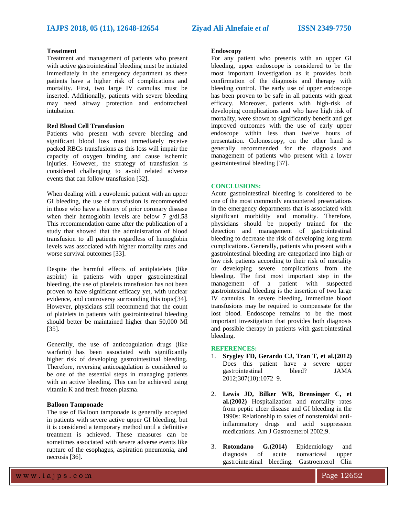# **Treatment**

Treatment and management of patients who present with active gastrointestinal bleeding must be initiated immediately in the emergency department as these patients have a higher risk of complications and mortality. First, two large IV cannulas must be inserted. Additionally, patients with severe bleeding may need airway protection and endotracheal intubation.

### **Red Blood Cell Transfusion**

Patients who present with severe bleeding and significant blood loss must immediately receive packed RBCs transfusions as this loss will impair the capacity of oxygen binding and cause ischemic injuries. However, the strategy of transfusion is considered challenging to avoid related adverse events that can follow transfusion [32].

When dealing with a euvolemic patient with an upper GI bleeding, the use of transfusion is recommended in those who have a history of prior coronary disease when their hemoglobin levels are below  $\frac{7}{9}$  g/dl.58 This recommendation came after the publication of a study that showed that the administration of blood transfusion to all patients regardless of hemoglobin levels was associated with higher mortality rates and worse survival outcomes [33].

Despite the harmful effects of antiplatelets (like aspirin) in patients with upper gastrointestinal bleeding, the use of platelets transfusion has not been proven to have significant efficacy yet, with unclear evidence, and controversy surrounding this topic[34]. However, physicians still recommend that the count of platelets in patients with gastrointestinal bleeding should better be maintained higher than 50,000 Ml [35].

Generally, the use of anticoagulation drugs (like warfarin) has been associated with significantly higher risk of developing gastrointestinal bleeding. Therefore, reversing anticoagulation is considered to be one of the essential steps in managing patients with an active bleeding. This can be achieved using vitamin K and fresh frozen plasma.

#### **Balloon Tamponade**

The use of Balloon tamponade is generally accepted in patients with severe active upper GI bleeding, but it is considered a temporary method until a definitive treatment is achieved. These measures can be sometimes associated with severe adverse events like rupture of the esophagus, aspiration pneumonia, and necrosis [36].

#### **Endoscopy**

For any patient who presents with an upper GI bleeding, upper endoscope is considered to be the most important investigation as it provides both confirmation of the diagnosis and therapy with bleeding control. The early use of upper endoscope has been proven to be safe in all patients with great efficacy. Moreover, patients with high-risk of developing complications and who have high risk of mortality, were shown to significantly benefit and get improved outcomes with the use of early upper endoscope within less than twelve hours of presentation. Colonoscopy, on the other hand is generally recommended for the diagnosis and management of patients who present with a lower gastrointestinal bleeding [37].

#### **CONCLUSIONS:**

Acute gastrointestinal bleeding is considered to be one of the most commonly encountered presentations in the emergency departments that is associated with significant morbidity and mortality. Therefore, physicians should be properly trained for the detection and management of gastrointestinal bleeding to decrease the risk of developing long term complications. Generally, patients who present with a gastrointestinal bleeding are categorized into high or low risk patients according to their risk of mortality or developing severe complications from the bleeding. The first most important step in the management of a patient with suspected gastrointestinal bleeding is the insertion of two large IV cannulas. In severe bleeding, immediate blood transfusions may be required to compensate for the lost blood. Endoscope remains to be the most important investigation that provides both diagnosis and possible therapy in patients with gastrointestinal bleeding.

#### **REFERENCES:**

- 1. **Srygley FD, Gerardo CJ, Tran T, et al.(2012)** Does this patient have a severe upper gastrointestinal bleed? JAMA 2012;307(10):1072–9.
- 2. **Lewis JD, Bilker WB, Brensinger C, et al.(2002)** Hospitalization and mortality rates from peptic ulcer disease and GI bleeding in the 1990s: Relationship to sales of nonsteroidal antiinflammatory drugs and acid suppression medications. Am J Gastroenterol 2002;9.
- 3. **Rotondano G.(2014)** Epidemiology and diagnosis of acute nonvariceal upper gastrointestinal bleeding. Gastroenterol Clin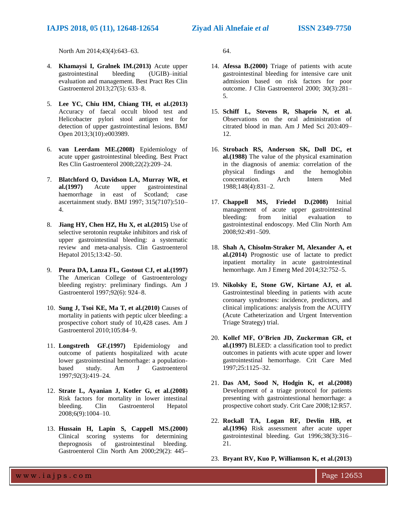North Am 2014;43(4):643–63.

- 4. **Khamaysi I, Gralnek IM.(2013)** Acute upper gastrointestinal bleeding (UGIB)–initial evaluation and management. Best Pract Res Clin Gastroenterol 2013;27(5): 633–8.
- 5. **Lee YC, Chiu HM, Chiang TH, et al.(2013)** Accuracy of faecal occult blood test and Helicobacter pylori stool antigen test for detection of upper gastrointestinal lesions. BMJ Open 2013;3(10):e003989.
- 6. **van Leerdam ME.(2008)** Epidemiology of acute upper gastrointestinal bleeding. Best Pract Res Clin Gastroenterol 2008;22(2):209–24.
- 7. **Blatchford O, Davidson LA, Murray WR, et al.(1997)** Acute upper gastrointestinal haemorrhage in east of Scotland; case ascertainment study. BMJ 1997; 315(7107):510– 4.
- 8. **Jiang HY, Chen HZ, Hu X, et al.(2015)** Use of selective serotonin reuptake inhibitors and risk of upper gastrointestinal bleeding: a systematic review and meta-analysis. Clin Gastroenterol Hepatol 2015;13:42–50.
- 9. **Peura DA, Lanza FL, Gostout CJ, et al.(1997)** The American College of Gastroenterology bleeding registry: preliminary findings. Am J Gastroenterol 1997;92(6): 924–8.
- 10. **Sung J, Tsoi KE, Ma T, et al.(2010)** Causes of mortality in patients with peptic ulcer bleeding: a prospective cohort study of 10,428 cases. Am J Gastroenterol 2010;105:84–9.
- 11. **Longstreth GF.(1997)** Epidemiology and outcome of patients hospitalized with acute lower gastrointestinal hemorrhage: a populationbased study. Am J Gastroenterol 1997;92(3):419–24.
- 12. **Strate L, Ayanian J, Kotler G, et al.(2008)** Risk factors for mortality in lower intestinal bleeding. Clin Gastroenterol Hepatol 2008;6(9):1004–10.
- 13. **Hussain H, Lapin S, Cappell MS.(2000)** Clinical scoring systems for determining theprognosis of gastrointestinal bleeding. Gastroenterol Clin North Am 2000;29(2): 445–

64.

- 14. **Afessa B.(2000)** Triage of patients with acute gastrointestinal bleeding for intensive care unit admission based on risk factors for poor outcome. J Clin Gastroenterol 2000; 30(3):281– 5.
- 15. **Schiff L, Stevens R, Shaprio N, et al.**  Observations on the oral administration of citrated blood in man. Am J Med Sci 203:409– 12.
- 16. **Strobach RS, Anderson SK, Doll DC, et al.(1988)** The value of the physical examination in the diagnosis of anemia: correlation of the physical findings and the hemoglobin concentration. Arch Intern Med 1988;148(4):831–2.
- 17. **Chappell MS, Friedel D.(2008)** Initial management of acute upper gastrointestinal bleeding: from initial evaluation to gastrointestinal endoscopy. Med Clin North Am 2008;92:491–509.
- 18. **Shah A, Chisolm-Straker M, Alexander A, et al.(2014)** Prognostic use of lactate to predict inpatient mortality in acute gastrointestinal hemorrhage. Am J Emerg Med 2014;32:752–5.
- 19. **Nikolsky E, Stone GW, Kirtane AJ, et al.**  Gastrointestinal bleeding in patients with acute coronary syndromes: incidence, predictors, and clinical implications: analysis from the ACUITY (Acute Catheterization and Urgent Intervention Triage Strategy) trial.
- 20. **Kollef MF, O'Brien JD, Zuckerman GR, et al.(1997)** BLEED: a classification tool to predict outcomes in patients with acute upper and lower gastrointestinal hemorrhage. Crit Care Med 1997;25:1125–32.
- 21. **Das AM, Sood N, Hodgin K, et al.(2008)** Development of a triage protocol for patients presenting with gastrointestional hemorrhage: a prospective cohort study. Crit Care 2008;12:R57.
- 22. **Rockall TA, Logan RF, Devlin HB, et al.(1996)** Risk assessment after acute upper gastrointestinal bleeding. Gut 1996;38(3):316– 21.
- 23. **Bryant RV, Kuo P, Williamson K, et al.(2013)**